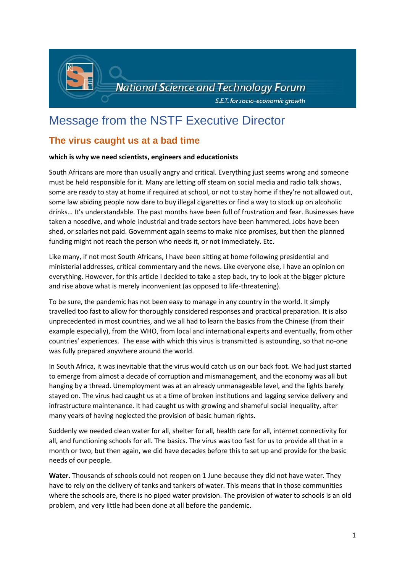

# Message from the NSTF Executive Director

## **The virus caught us at a bad time**

### **which is why we need scientists, engineers and educationists**

South Africans are more than usually angry and critical. Everything just seems wrong and someone must be held responsible for it. Many are letting off steam on social media and radio talk shows, some are ready to stay at home if required at school, or not to stay home if they're not allowed out, some law abiding people now dare to buy illegal cigarettes or find a way to stock up on alcoholic drinks… It's understandable. The past months have been full of frustration and fear. Businesses have taken a nosedive, and whole industrial and trade sectors have been hammered. Jobs have been shed, or salaries not paid. Government again seems to make nice promises, but then the planned funding might not reach the person who needs it, or not immediately. Etc.

Like many, if not most South Africans, I have been sitting at home following presidential and ministerial addresses, critical commentary and the news. Like everyone else, I have an opinion on everything. However, for this article I decided to take a step back, try to look at the bigger picture and rise above what is merely inconvenient (as opposed to life-threatening).

To be sure, the pandemic has not been easy to manage in any country in the world. It simply travelled too fast to allow for thoroughly considered responses and practical preparation. It is also unprecedented in most countries, and we all had to learn the basics from the Chinese (from their example especially), from the WHO, from local and international experts and eventually, from other countries' experiences. The ease with which this virus is transmitted is astounding, so that no-one was fully prepared anywhere around the world.

In South Africa, it was inevitable that the virus would catch us on our back foot. We had just started to emerge from almost a decade of corruption and mismanagement, and the economy was all but hanging by a thread. Unemployment was at an already unmanageable level, and the lights barely stayed on. The virus had caught us at a time of broken institutions and lagging service delivery and infrastructure maintenance. It had caught us with growing and shameful social inequality, after many years of having neglected the provision of basic human rights.

Suddenly we needed clean water for all, shelter for all, health care for all, internet connectivity for all, and functioning schools for all. The basics. The virus was too fast for us to provide all that in a month or two, but then again, we did have decades before this to set up and provide for the basic needs of our people.

**Water.** Thousands of schools could not reopen on 1 June because they did not have water. They have to rely on the delivery of tanks and tankers of water. This means that in those communities where the schools are, there is no piped water provision. The provision of water to schools is an old problem, and very little had been done at all before the pandemic.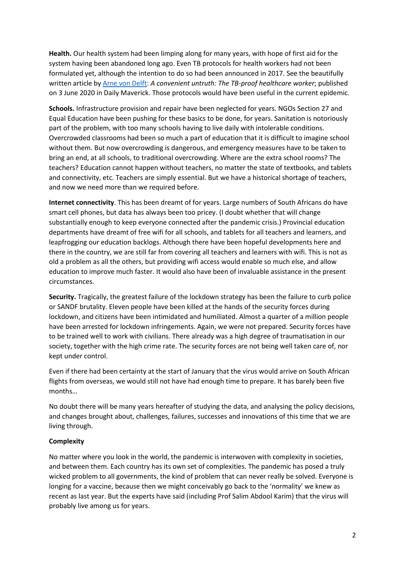**Health.** Our health system had been limping along for many years, with hope of first aid for the system having been abandoned long ago. Even TB protocols for health workers had not been formulated yet, although the intention to do so had been announced in 2017. See the beautifully written article by [Arne von Delft:](https://www.dailymaverick.co.za/article/2020-06-03-a-convenient-untruth-the-tb-proof-healthcare-worker/#gsc.tab=0) *A convenient untruth: The TB-proof healthcare worker*; published on 3 June 2020 in Daily Maverick. Those protocols would have been useful in the current epidemic.

**Schools.** Infrastructure provision and repair have been neglected for years. NGOs Section 27 and Equal Education have been pushing for these basics to be done, for years. Sanitation is notoriously part of the problem, with too many schools having to live daily with intolerable conditions. Overcrowded classrooms had been so much a part of education that it is difficult to imagine school without them. But now overcrowding is dangerous, and emergency measures have to be taken to bring an end, at all schools, to traditional overcrowding. Where are the extra school rooms? The teachers? Education cannot happen without teachers, no matter the state of textbooks, and tablets and connectivity, etc. Teachers are simply essential. But we have a historical shortage of teachers, and now we need more than we required before.

**Internet connectivity**. This has been dreamt of for years. Large numbers of South Africans do have smart cell phones, but data has always been too pricey. (I doubt whether that will change substantially enough to keep everyone connected after the pandemic crisis.) Provincial education departments have dreamt of free wifi for all schools, and tablets for all teachers and learners, and leapfrogging our education backlogs. Although there have been hopeful developments here and there in the country, we are still far from covering all teachers and learners with wifi. This is not as old a problem as all the others, but providing wifi access would enable so much else, and allow education to improve much faster. It would also have been of invaluable assistance in the present circumstances.

**Security.** Tragically, the greatest failure of the lockdown strategy has been the failure to curb police or SANDF brutality. Eleven people have been killed at the hands of the security forces during lockdown, and citizens have been intimidated and humiliated. Almost a quarter of a million people have been arrested for lockdown infringements. Again, we were not prepared. Security forces have to be trained well to work with civilians. There already was a high degree of traumatisation in our society, together with the high crime rate. The security forces are not being well taken care of, nor kept under control.

Even if there had been certainty at the start of January that the virus would arrive on South African flights from overseas, we would still not have had enough time to prepare. It has barely been five months…

No doubt there will be many years hereafter of studying the data, and analysing the policy decisions, and changes brought about, challenges, failures, successes and innovations of this time that we are living through.

#### **Complexity**

No matter where you look in the world, the pandemic is interwoven with complexity in societies, and between them. Each country has its own set of complexities. The pandemic has posed a truly wicked problem to all governments, the kind of problem that can never really be solved. Everyone is longing for a vaccine, because then we might conceivably go back to the 'normality' we knew as recent as last year. But the experts have said (including Prof Salim Abdool Karim) that the virus will probably live among us for years.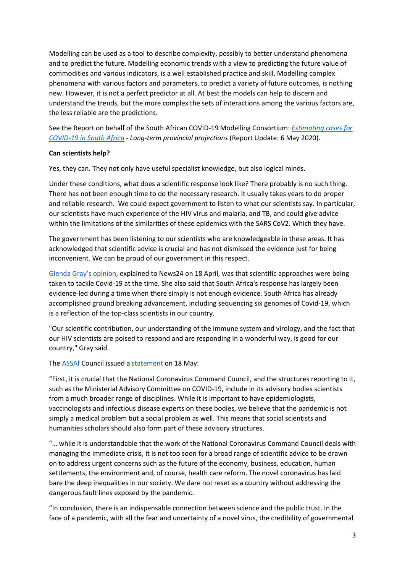Modelling can be used as a tool to describe complexity, possibly to better understand phenomena and to predict the future. Modelling economic trends with a view to predicting the future value of commodities and various indicators, is a well established practice and skill. Modelling complex phenomena with various factors and parameters, to predict a variety of future outcomes, is nothing new. However, it is not a perfect predictor at all. At best the models can help to discern and understand the trends, but the more complex the sets of interactions among the various factors are, the less reliable are the predictions.

See the Report on behalf of the South African COVID-19 Modelling Consortium: *[Estimating cases for](https://www.nicd.ac.za/wp-content/uploads/2020/05/SACovidModellingReport_ProvincialLongTermProjections_Final.pdf)  [COVID-19 in South Africa](https://www.nicd.ac.za/wp-content/uploads/2020/05/SACovidModellingReport_ProvincialLongTermProjections_Final.pdf) - Long-term provincial projections* (Report Update: 6 May 2020).

#### **Can scientists help?**

Yes, they can. They not only have useful specialist knowledge, but also logical minds.

Under these conditions, what does a scientific response look like? There probably is no such thing. There has not been enough time to do the necessary research. It usually takes years to do proper and reliable research. We could expect government to listen to what our scientists say. In particular, our scientists have much experience of the HIV virus and malaria, and TB, and could give advice within the limitations of the similarities of these epidemics with the SARS CoV2. Which they have.

The government has been listening to our scientists who are knowledgeable in these areas. It has acknowledged that scientific advice is crucial and has not dismissed the evidence just for being inconvenient. We can be proud of our government in this respect.

[Glenda Gray's opinion](https://www.news24.com/news24/SouthAfrica/News/dr-glenda-gray-there-are-dynamics-about-the-coronavirus-that-we-dont-know-20200418), explained to News24 on 18 April, was that scientific approaches were being taken to tackle Covid-19 at the time. She also said that South Africa's response has largely been evidence-led during a time when there simply is not enough evidence. South Africa has already accomplished ground breaking advancement, including sequencing six genomes of Covid-19, which is a reflection of the top-class scientists in our country.

"Our scientific contribution, our understanding of the immune system and virology, and the fact that our HIV scientists are poised to respond and are responding in a wonderful way, is good for our country," Gray said.

The [ASSAf](https://www.assaf.org.za/) Council issued [a statement](https://www.assaf.org.za/index.php/news/626-public-statement-on-covid19) on 18 May:

"First, it is crucial that the National Coronavirus Command Council, and the structures reporting to it, such as the Ministerial Advisory Committee on COVID-19, include in its advisory bodies scientists from a much broader range of disciplines. While it is important to have epidemiologists, vaccinologists and infectious disease experts on these bodies, we believe that the pandemic is not simply a medical problem but a social problem as well. This means that social scientists and humanities scholars should also form part of these advisory structures.

"… while it is understandable that the work of the National Coronavirus Command Council deals with managing the immediate crisis, it is not too soon for a broad range of scientific advice to be drawn on to address urgent concerns such as the future of the economy, business, education, human settlements, the environment and, of course, health care reform. The novel coronavirus has laid bare the deep inequalities in our society. We dare not reset as a country without addressing the dangerous fault lines exposed by the pandemic.

"In conclusion, there is an indispensable connection between science and the public trust. In the face of a pandemic, with all the fear and uncertainty of a novel virus, the credibility of governmental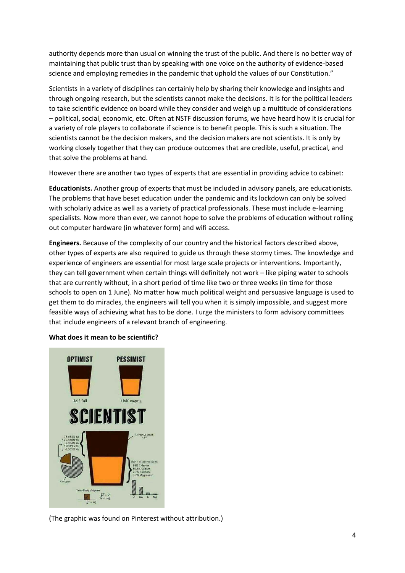authority depends more than usual on winning the trust of the public. And there is no better way of maintaining that public trust than by speaking with one voice on the authority of evidence-based science and employing remedies in the pandemic that uphold the values of our Constitution."

Scientists in a variety of disciplines can certainly help by sharing their knowledge and insights and through ongoing research, but the scientists cannot make the decisions. It is for the political leaders to take scientific evidence on board while they consider and weigh up a multitude of considerations – political, social, economic, etc. Often at NSTF discussion forums, we have heard how it is crucial for a variety of role players to collaborate if science is to benefit people. This is such a situation. The scientists cannot be the decision makers, and the decision makers are not scientists. It is only by working closely together that they can produce outcomes that are credible, useful, practical, and that solve the problems at hand.

However there are another two types of experts that are essential in providing advice to cabinet:

**Educationists.** Another group of experts that must be included in advisory panels, are educationists. The problems that have beset education under the pandemic and its lockdown can only be solved with scholarly advice as well as a variety of practical professionals. These must include e-learning specialists. Now more than ever, we cannot hope to solve the problems of education without rolling out computer hardware (in whatever form) and wifi access.

**Engineers.** Because of the complexity of our country and the historical factors described above, other types of experts are also required to guide us through these stormy times. The knowledge and experience of engineers are essential for most large scale projects or interventions. Importantly, they can tell government when certain things will definitely not work – like piping water to schools that are currently without, in a short period of time like two or three weeks (in time for those schools to open on 1 June). No matter how much political weight and persuasive language is used to get them to do miracles, the engineers will tell you when it is simply impossible, and suggest more feasible ways of achieving what has to be done. I urge the ministers to form advisory committees that include engineers of a relevant branch of engineering.



#### **What does it mean to be scientific?**

(The graphic was found on Pinterest without attribution.)